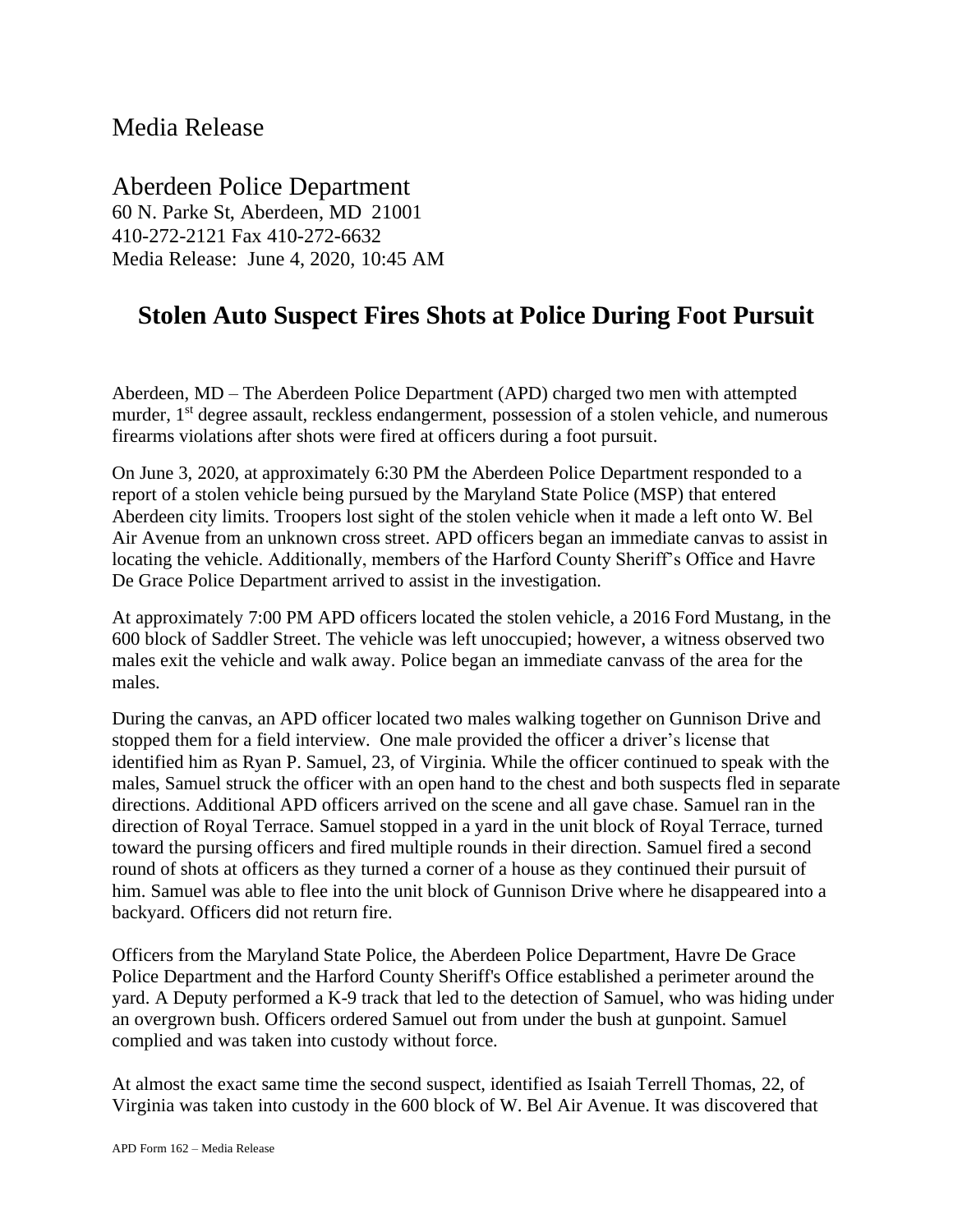## Media Release

Aberdeen Police Department 60 N. Parke St, Aberdeen, MD 21001 410-272-2121 Fax 410-272-6632 Media Release: June 4, 2020, 10:45 AM

## **Stolen Auto Suspect Fires Shots at Police During Foot Pursuit**

Aberdeen, MD – The Aberdeen Police Department (APD) charged two men with attempted murder, 1<sup>st</sup> degree assault, reckless endangerment, possession of a stolen vehicle, and numerous firearms violations after shots were fired at officers during a foot pursuit.

On June 3, 2020, at approximately 6:30 PM the Aberdeen Police Department responded to a report of a stolen vehicle being pursued by the Maryland State Police (MSP) that entered Aberdeen city limits. Troopers lost sight of the stolen vehicle when it made a left onto W. Bel Air Avenue from an unknown cross street. APD officers began an immediate canvas to assist in locating the vehicle. Additionally, members of the Harford County Sheriff's Office and Havre De Grace Police Department arrived to assist in the investigation.

At approximately 7:00 PM APD officers located the stolen vehicle, a 2016 Ford Mustang, in the 600 block of Saddler Street. The vehicle was left unoccupied; however, a witness observed two males exit the vehicle and walk away. Police began an immediate canvass of the area for the males.

During the canvas, an APD officer located two males walking together on Gunnison Drive and stopped them for a field interview. One male provided the officer a driver's license that identified him as Ryan P. Samuel, 23, of Virginia. While the officer continued to speak with the males, Samuel struck the officer with an open hand to the chest and both suspects fled in separate directions. Additional APD officers arrived on the scene and all gave chase. Samuel ran in the direction of Royal Terrace. Samuel stopped in a yard in the unit block of Royal Terrace, turned toward the pursing officers and fired multiple rounds in their direction. Samuel fired a second round of shots at officers as they turned a corner of a house as they continued their pursuit of him. Samuel was able to flee into the unit block of Gunnison Drive where he disappeared into a backyard. Officers did not return fire.

Officers from the Maryland State Police, the Aberdeen Police Department, Havre De Grace Police Department and the Harford County Sheriff's Office established a perimeter around the yard. A Deputy performed a K-9 track that led to the detection of Samuel, who was hiding under an overgrown bush. Officers ordered Samuel out from under the bush at gunpoint. Samuel complied and was taken into custody without force.

At almost the exact same time the second suspect, identified as Isaiah Terrell Thomas, 22, of Virginia was taken into custody in the 600 block of W. Bel Air Avenue. It was discovered that